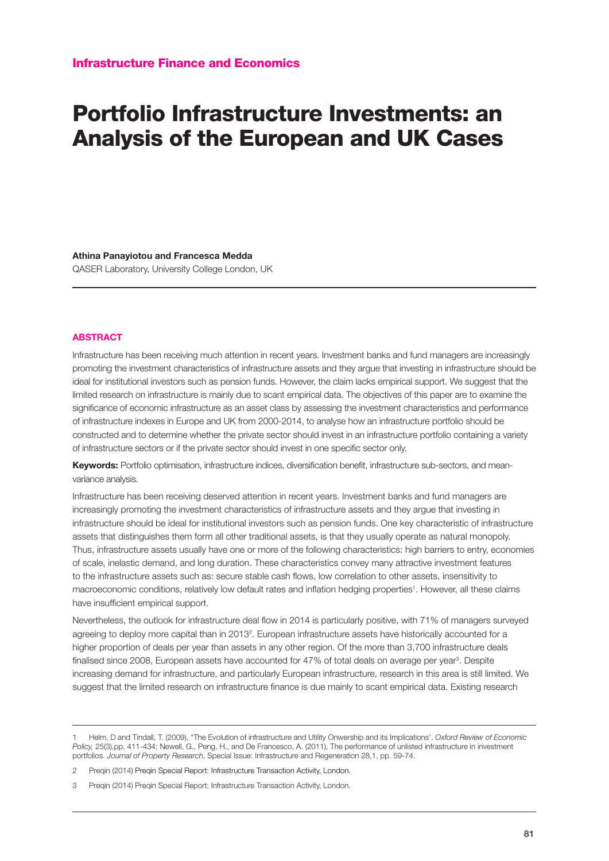## Portfolio Infrastructure Investments: an Analysis of the European and UK Cases

**Athina Panayiotou and Francesca Medda**

QASER Laboratory, University College London, UK

## **ABSTRACT**

Infrastructure has been receiving much attention in recent years. Investment banks and fund managers are increasingly promoting the investment characteristics of infrastructure assets and they argue that investing in infrastructure should be ideal for institutional investors such as pension funds. However, the claim lacks empirical support. We suggest that the limited research on infrastructure is mainly due to scant empirical data. The objectives of this paper are to examine the significance of economic infrastructure as an asset class by assessing the investment characteristics and performance of infrastructure indexes in Europe and UK from 2000-2014, to analyse how an infrastructure portfolio should be constructed and to determine whether the private sector should invest in an infrastructure portfolio containing a variety of infrastructure sectors or if the private sector should invest in one specific sector only.

**Keywords:** Portfolio optimisation, infrastructure indices, diversification benefit, infrastructure sub-sectors, and meanvariance analysis.

Infrastructure has been receiving deserved attention in recent years. Investment banks and fund managers are increasingly promoting the investment characteristics of infrastructure assets and they argue that investing in infrastructure should be ideal for institutional investors such as pension funds. One key characteristic of infrastructure assets that distinguishes them form all other traditional assets, is that they usually operate as natural monopoly. Thus, infrastructure assets usually have one or more of the following characteristics: high barriers to entry, economies of scale, inelastic demand, and long duration. These characteristics convey many attractive investment features to the infrastructure assets such as: secure stable cash flows, low correlation to other assets, insensitivity to macroeconomic conditions, relatively low default rates and inflation hedging properties<sup>1</sup>. However, all these claims have insufficient empirical support.

Nevertheless, the outlook for infrastructure deal flow in 2014 is particularly positive, with 71% of managers surveyed agreeing to deploy more capital than in 2013<sup>2</sup>. European infrastructure assets have historically accounted for a higher proportion of deals per year than assets in any other region. Of the more than 3,700 infrastructure deals finalised since 2008, European assets have accounted for 47% of total deals on average per year<sup>3</sup>. Despite increasing demand for infrastructure, and particularly European infrastructure, research in this area is still limited. We suggest that the limited research on infrastructure finance is due mainly to scant empirical data. Existing research

<sup>1</sup> Helm, D and Tindall, T. (2009), "The Evolution of infrastructure and Utility Onwership and its Implications'. *Oxford Review of Economic Policy,* 25(3),pp. 411-434; Newell, G., Peng, H., and De Francesco, A. (2011), The performance of unlisted infrastructure in investment portfolios. *Journal of Property Research*, Special Issue: Infrastructure and Regeneration 28,1, pp. 59-74.

<sup>2</sup> Preqin (2014) Preqin Special Report: Infrastructure Transaction Activity, London.

<sup>3</sup> Preqin (2014) Preqin Special Report: Infrastructure Transaction Activity, London.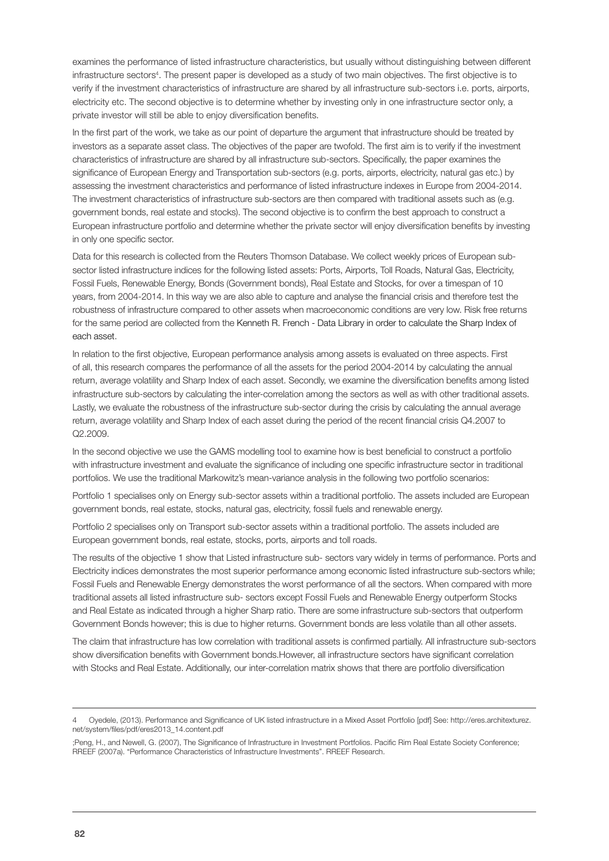examines the performance of listed infrastructure characteristics, but usually without distinguishing between different infrastructure sectors<sup>4</sup>. The present paper is developed as a study of two main objectives. The first objective is to verify if the investment characteristics of infrastructure are shared by all infrastructure sub-sectors i.e. ports, airports, electricity etc. The second objective is to determine whether by investing only in one infrastructure sector only, a private investor will still be able to enjoy diversification benefits.

In the first part of the work, we take as our point of departure the argument that infrastructure should be treated by investors as a separate asset class. The objectives of the paper are twofold. The first aim is to verify if the investment characteristics of infrastructure are shared by all infrastructure sub-sectors. Specifically, the paper examines the significance of European Energy and Transportation sub-sectors (e.g. ports, airports, electricity, natural gas etc.) by assessing the investment characteristics and performance of listed infrastructure indexes in Europe from 2004-2014. The investment characteristics of infrastructure sub-sectors are then compared with traditional assets such as (e.g. government bonds, real estate and stocks). The second objective is to confirm the best approach to construct a European infrastructure portfolio and determine whether the private sector will enjoy diversification benefits by investing in only one specific sector.

Data for this research is collected from the Reuters Thomson Database. We collect weekly prices of European subsector listed infrastructure indices for the following listed assets: Ports, Airports, Toll Roads, Natural Gas, Electricity, Fossil Fuels, Renewable Energy, Bonds (Government bonds), Real Estate and Stocks, for over a timespan of 10 years, from 2004-2014. In this way we are also able to capture and analyse the financial crisis and therefore test the robustness of infrastructure compared to other assets when macroeconomic conditions are very low. Risk free returns for the same period are collected from the Kenneth R. French - Data Library in order to calculate the Sharp Index of each asset.

In relation to the first objective, European performance analysis among assets is evaluated on three aspects. First of all, this research compares the performance of all the assets for the period 2004-2014 by calculating the annual return, average volatility and Sharp Index of each asset. Secondly, we examine the diversification benefits among listed infrastructure sub-sectors by calculating the inter-correlation among the sectors as well as with other traditional assets. Lastly, we evaluate the robustness of the infrastructure sub-sector during the crisis by calculating the annual average return, average volatility and Sharp Index of each asset during the period of the recent financial crisis Q4.2007 to Q2.2009.

In the second objective we use the GAMS modelling tool to examine how is best beneficial to construct a portfolio with infrastructure investment and evaluate the significance of including one specific infrastructure sector in traditional portfolios. We use the traditional Markowitz's mean-variance analysis in the following two portfolio scenarios:

Portfolio 1 specialises only on Energy sub-sector assets within a traditional portfolio. The assets included are European government bonds, real estate, stocks, natural gas, electricity, fossil fuels and renewable energy.

Portfolio 2 specialises only on Transport sub-sector assets within a traditional portfolio. The assets included are European government bonds, real estate, stocks, ports, airports and toll roads.

The results of the objective 1 show that Listed infrastructure sub- sectors vary widely in terms of performance. Ports and Electricity indices demonstrates the most superior performance among economic listed infrastructure sub-sectors while; Fossil Fuels and Renewable Energy demonstrates the worst performance of all the sectors. When compared with more traditional assets all listed infrastructure sub- sectors except Fossil Fuels and Renewable Energy outperform Stocks and Real Estate as indicated through a higher Sharp ratio. There are some infrastructure sub-sectors that outperform Government Bonds however; this is due to higher returns. Government bonds are less volatile than all other assets.

The claim that infrastructure has low correlation with traditional assets is confirmed partially. All infrastructure sub-sectors show diversification benefits with Government bonds.However, all infrastructure sectors have significant correlation with Stocks and Real Estate. Additionally, our inter-correlation matrix shows that there are portfolio diversification

<sup>4</sup> Oyedele, (2013). Performance and Significance of UK listed infrastructure in a Mixed Asset Portfolio [pdf] See: http://eres.architexturez. net/system/files/pdf/eres2013\_14.content.pdf

<sup>;</sup>Peng, H., and Newell, G. (2007), The Significance of Infrastructure in Investment Portfolios. Pacific Rim Real Estate Society Conference; RREEF (2007a). "Performance Characteristics of Infrastructure Investments". RREEF Research.